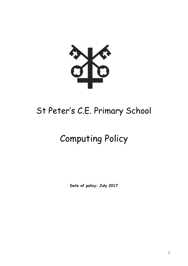

## St Peter's C.E. Primary School

# Computing Policy

**Date of policy: July 2017**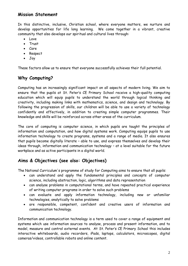## **Mission Statement**

In this distinctive, inclusive, Christian school, where everyone matters, we nurture and develop opportunities for life long learning. We come together in a vibrant, creative community that also develops our spiritual and cultural lives through:

- Love
- Trust
- Care
- Respect
- Joy

These factors allow us to ensure that everyone successfully achieves their full potential.

## **Why Computing?**

Computing has an increasingly significant impact on all aspects of modern living. We aim to ensure that the pupils at St. Peter's CE Primary School receive a high-quality computing education which will equip pupils to understand the world through logical thinking and creativity, including making links with mathematics, science, and design and technology. By following the progression of skills, our children will be able to use a variety of technology confidently and effectively, in addition to creating simple computer programmes. Their knowledge and skills will be reinforced across other areas of the curriculum.

The core of computing is computer science, in which pupils are taught the principles of information and computation, and how digital systems work. Computing equips pupils to use information technology to create programs, systems and a range of media. It also ensures that pupils become digitally literate – able to use, and express themselves and develop their ideas through, information and communication technology – at a level suitable for the future workplace and as active participants in a digital world.

## **Aims & Objectives (see also: Objectives)**

The National Curriculum's programme of study for Computing aims to ensure that all pupils:

- can understand and apply the fundamental principles and concepts of computer science, including abstraction, logic, algorithms and data representation
- can analyse problems in computational terms, and have repeated practical experience of writing computer programs in order to solve such problems
- can evaluate and apply information technology, including new or unfamiliar technologies, analytically to solve problems
- are responsible, competent, confident and creative users of information and communication technology.

Information and communication technology is a term used to cover a range of equipment and systems which use information sources to analyse, process and present information, and to model, measure and control external events. At St. Peter's CE Primary School this includes interactive whiteboards, audio recorders, iPads, laptops, calculators, microscopes, digital cameras/videos, controllable robots and online content.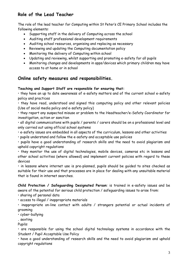## **Role of the Lead Teacher**

The role of the lead teacher for Computing within St Peter's CE Primary School includes the following elements:

- Supporting staff in the delivery of Computing across the school
- Auditing staff professional development requirements
- Auditing school resources, organising and replacing as necessary
- Reviewing and updating the Computing documentation policy
- Monitoring the delivery of Computing within school
- Updating and reviewing, whilst supporting and promoting e-safety for all pupils
- Monitoring changes and developments in apps/devices which primary children may have access to at home or in school

## **Online safety measures and responsibilities.**

#### **Teaching and Support Staff are responsible for ensuring that:**

• they have an up to date awareness of e-safety matters and of the current school e-safety policy and practices

• they have read, understood and signed this computing policy and other relevant policies (Use of social media policy and e-safety policy)

• they report any suspected misuse or problem to the Headteacher/e-Safety Coordinator for investigation, action or sanction

• all digital communications with pupils / parents / carers should be on a professional level and only carried out using official school systems

• e-safety issues are embedded in all aspects of the curriculum, lessons and other activities

• pupils understand and follow the e-safety and acceptable use policies

• pupils have a good understanding of research skills and the need to avoid plagiarism and uphold copyright regulations

• they monitor the use of digital technologies, mobile devices, cameras etc in lessons and other school activities (where allowed) and implement current policies with regard to these devices

• in lessons where internet use is pre-planned, pupils should be guided to sites checked as suitable for their use and that processes are in place for dealing with any unsuitable material that is found in internet searches.

**Child Protection / Safeguarding Designated Person**: is trained in e-safety issues and be aware of the potential for serious child protection / safeguarding issues to arise from:

• sharing of personal data

• access to illegal / inappropriate materials

• inappropriate on-line contact with adults / strangers potential or actual incidents of grooming

• cyber-bullying

**.** sexting

Pupils:

• are responsible for using the school digital technology systems in accordance with the Student / Pupil Acceptable Use Policy

• have a good understanding of research skills and the need to avoid plagiarism and uphold copyright regulations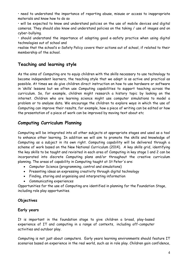• need to understand the importance of reporting abuse, misuse or access to inappropriate materials and know how to do so

• will be expected to know and understand policies on the use of mobile devices and digital cameras. They should also know and understand policies on the taking / use of images and on cyber-bullying.

• should understand the importance of adopting good e-safety practice when using digital technologies out of school and

realise that the school's e-Safety Policy covers their actions out of school, if related to their membership of the school.

## **Teaching and learning style**

As the aims of Computing are to equip children with the skills necessary to use technology to become independent learners, the teaching style that we adopt is as active and practical as possible. At times we do give children direct instruction on how to use hardware or software in 'skills' lessons but we often use Computing capabilities to support teaching across the curriculum. So, for example, children might research a history topic by looking on the internet. Children who are learning science might use computer simulations to model a problem or to analyse data. We encourage the children to explore ways in which the use of Computing can improve their results, for example, how a piece of writing can be edited or how the presentation of a piece of work can be improved by moving text about etc

## **Computing Curriculum Planning**

Computing will be integrated into all other subjects at appropriate stages and used as a tool to enhance other learning. In addition we will aim to promote the skills and knowledge of Computing as a subject in its own right. Computing capability will be delivered through a scheme of work based on the New National Curriculum (2014). A key skills grid, identifying the key skills to be taught and revisited in each area of Computing in key stage 1 and 2 can be incorporated into discrete Computing plans and/or throughout the creative curriculum planning. The areas of capability in Computing taught at St Peter's are:

- Computer Science (programming, control and simulations)
- Presenting ideas an expressing creativity through digital technology
- Finding, storing and organising and interpreting information
- Communicating experiences

Opportunities for the use of Computing are identified in planning for the Foundation Stage, including role play opportunities.

## **Objectives**

## **Early years**

It is important in the foundation stage to give children a broad, play-based experience of IT and computing in a range of contexts, including off-computer activities and outdoor play.

Computing is not just about computers. Early years learning environments should feature IT scenarios based on experience in the real world, such as in role play. Children gain confidence,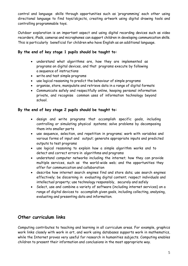control and language skills through opportunities such as 'programming' each other using directional language to find toys/objects, creating artwork using digital drawing tools and controlling programmable toys.

Outdoor exploration is an important aspect and using digital recording devices such as video recorders, iPads, cameras and microphones can support children in developing communication skills. This is particularly beneficial for children who have English as an additional language.

#### **By the end of key stage 1 pupils should be taught to:**

- understand what algorithms are, how they are implemented as programs on digital devices, and that programs execute by following a sequence of instructions
- write and test simple programs
- use logical reasoning to predict the behaviour of simple programs
- organise, store, manipulate and retrieve data in a range of digital formats
- Communicate safely and respectfully online, keeping personal information private, and recognise common uses of information technology beyond school.

#### **By the end of key stage 2 pupils should be taught to:**

- design and write programs that accomplish specific goals, including controlling or simulating physical systems; solve problems by decomposing them into smaller parts
- use sequence, selection, and repetition in programs; work with variables and various forms of input and output; generate appropriate inputs and predicted outputs to test programs
- use logical reasoning to explain how a simple algorithm works and to detect and correct errors in algorithms and programs
- understand computer networks including the internet; how they can provide multiple services, such as the world-wide web; and the opportunities they offer for communication and collaboration
- describe how internet search engines find and store data; use search engines effectively; be discerning in evaluating digital content; respect individuals and intellectual property; use technology responsibly, securely and safely
- Select, use and combine a variety of software (including internet services) on a range of digital devices to accomplish given goals, including collecting, analysing, evaluating and presenting data and information.

## **Other curriculum links**

Computing contributes to teaching and learning in all curriculum areas. For example, graphics work links closely with work in art, and work using databases supports work in mathematics, while the Internet proves very useful for research in humanities subjects. Computing enables children to present their information and conclusions in the most appropriate way.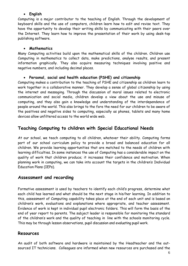#### **English**

Computing is a major contributor to the teaching of English. Through the development of keyboard skills and the use of computers, children learn how to edit and revise text. They have the opportunity to develop their writing skills by communicating with their peers over the Internet. They learn how to improve the presentation of their work by using desk-top publishing software.

#### **Mathematics**

Many Computing activities build upon the mathematical skills of the children. Children use Computing in mathematics to collect data, make predictions, analyse results, and present information graphically. They also acquire measuring techniques involving positive and negative numbers, and including decimal places.

#### **Personal, social and health education (PSHE) and citizenship**

Computing makes a contribution to the teaching of PSHE and citizenship as children learn to work together in a collaborative manner. They develop a sense of global citizenship by using the internet and messaging. Through the discussion of moral issues related to electronic communication and social media, children develop a view about the use and misuse of computing, and they also gain a knowledge and understanding of the interdependence of people around the world. This also brings to the fore the need for our children to be aware of the positives and negative sides to computing, especially as phones, tablets and many home devices allow unfiltered access to the world wide web.

## **Teaching Computing to children with Special Educational Needs**

At our school, we teach computing to all children, whatever their ability. Computing forms part of our school curriculum policy to provide a broad and balanced education for all children. We provide learning opportunities that are matched to the needs of children with learning difficulties. In some instances the use of Computing has a considerable impact on the quality of work that children produce; it increases their confidence and motivation. When planning work in computing, we can take into account the targets in the children's Individual Education Plans (IEPs).

## **Assessment and recording**

Formative assessment is used by teachers to identify each child's progress, determine what each child has learned and what should be the next stage in his/her learning. In addition to this, assessment of Computing capability takes place at the end of each unit and is based on children's work, evaluations and explanations where appropriate, and teacher assessment. Evidence of work is kept in individual pupil electronic folders. This will form the basis of the end of year report to parents. The subject leader is responsible for monitoring the standard of the children's work and the quality of teaching in line with the schools monitoring cycle. This may be through lesson observations, pupil discussion and evaluating pupil work.

## **Resources**

An audit of both software and hardware is maintained by the Headteacher and the outsourced IT technicians. Colleagues are informed when new resources are purchased and the